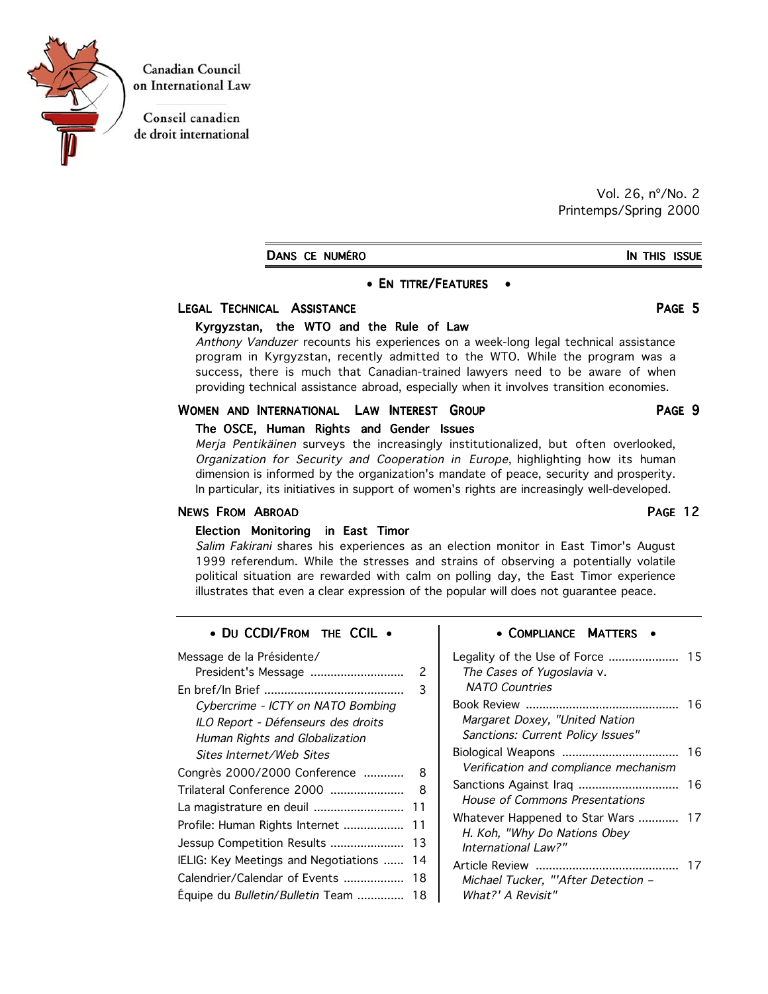

**Canadian Council** on International Law

Conseil canadien de droit international

> Vol. 26, nº/No. 2 Printemps/Spring 2000

DANS CE NUMÉRO **IN THIS ISSUE** 

#### • EN TITRE/FEATURES •

#### LEGAL TECHNICAL ASSISTANCE PAGE 5

#### Kyrgyzstan, the WTO and the Rule of Law

Anthony Vanduzer recounts his experiences on a week-long legal technical assistance program in Kyrgyzstan, recently admitted to the WTO. While the program was a success, there is much that Canadian-trained lawyers need to be aware of when providing technical assistance abroad, especially when it involves transition economies.

#### WOMEN AND INTERNATIONAL LAW INTEREST GROUP **FAGE 9**

#### The OSCE, Human Rights and Gender Issues

Merja Pentikäinen surveys the increasingly institutionalized, but often overlooked, Organization for Security and Cooperation in Europe, highlighting how its human dimension is informed by the organization's mandate of peace, security and prosperity. In particular, its initiatives in support of women's rights are increasingly well-developed.

### NEWS FROM ABROAD **PAGE 12**

## Election Monitoring in East Timor

Salim Fakirani shares his experiences as an election monitor in East Timor's August 1999 referendum. While the stresses and strains of observing a potentially volatile political situation are rewarded with calm on polling day, the East Timor experience illustrates that even a clear expression of the popular will does not guarantee peace.

#### • DU CCDI/FROM THE CCIL .

| Message de la Présidente/<br>President's Message | 2  |  |
|--------------------------------------------------|----|--|
|                                                  |    |  |
| Cybercrime - ICTY on NATO Bombing                |    |  |
| ILO Report - Défenseurs des droits               |    |  |
| Human Rights and Globalization                   |    |  |
| Sites Internet/Web Sites                         |    |  |
| Congrès 2000/2000 Conference                     | 8  |  |
| Trilateral Conference 2000                       | 8  |  |
| La magistrature en deuil                         | 11 |  |
| Profile: Human Rights Internet                   | 11 |  |
| Jessup Competition Results                       | 13 |  |
| IELIG: Key Meetings and Negotiations             | 14 |  |
| Calendrier/Calendar of Events                    | 18 |  |
| Equipe du <i>Bulletin/Bulletin</i> Team          | 18 |  |
|                                                  |    |  |

#### • COMPLIANCE MATTERS •

| Legality of the Use of Force<br>The Cases of Yugoslavia v.<br><b>NATO Countries</b>   | 15 |
|---------------------------------------------------------------------------------------|----|
| Margaret Doxey, "United Nation<br>Sanctions: Current Policy Issues"                   | 16 |
| Verification and compliance mechanism                                                 | 16 |
| Sanctions Against Iraq<br><b>House of Commons Presentations</b>                       | 16 |
| Whatever Happened to Star Wars<br>H. Koh, "Why Do Nations Obey<br>International Law?" | 17 |
| Michael Tucker, "'After Detection -<br>What?' A Revisit"                              |    |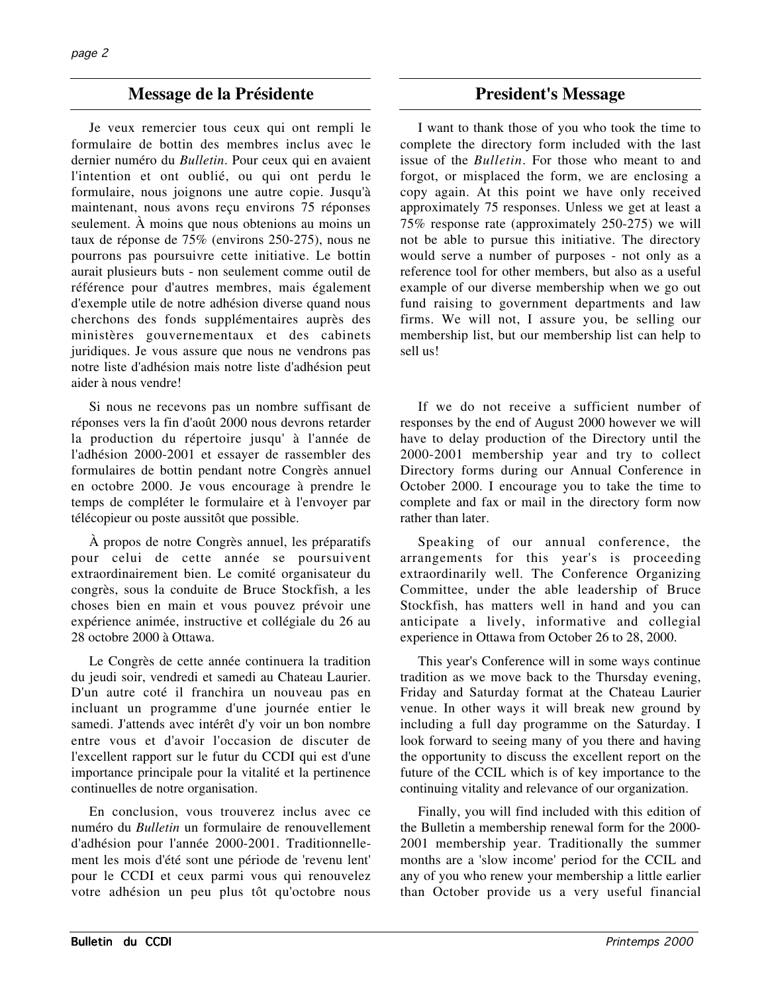## **Message de la Présidente** President's Message

Je veux remercier tous ceux qui ont rempli le formulaire de bottin des membres inclus avec le dernier numéro du *Bulletin*. Pour ceux qui en avaient l'intention et ont oublié, ou qui ont perdu le formulaire, nous joignons une autre copie. Jusqu'à maintenant, nous avons reçu environs 75 réponses seulement. À moins que nous obtenions au moins un taux de réponse de 75% (environs 250-275), nous ne pourrons pas poursuivre cette initiative. Le bottin aurait plusieurs buts - non seulement comme outil de référence pour d'autres membres, mais également d'exemple utile de notre adhésion diverse quand nous cherchons des fonds supplémentaires auprès des ministères gouvernementaux et des cabinets juridiques. Je vous assure que nous ne vendrons pas notre liste d'adhésion mais notre liste d'adhésion peut aider à nous vendre!

Si nous ne recevons pas un nombre suffisant de réponses vers la fin d'août 2000 nous devrons retarder la production du répertoire jusqu' à l'année de l'adhésion 2000-2001 et essayer de rassembler des formulaires de bottin pendant notre Congrès annuel en octobre 2000. Je vous encourage à prendre le temps de compléter le formulaire et à l'envoyer par télécopieur ou poste aussitôt que possible.

À propos de notre Congrès annuel, les préparatifs pour celui de cette année se poursuivent extraordinairement bien. Le comité organisateur du congrès, sous la conduite de Bruce Stockfish, a les choses bien en main et vous pouvez prévoir une expérience animée, instructive et collégiale du 26 au 28 octobre 2000 à Ottawa.

Le Congrès de cette année continuera la tradition du jeudi soir, vendredi et samedi au Chateau Laurier. D'un autre coté il franchira un nouveau pas en incluant un programme d'une journée entier le samedi. J'attends avec intérêt d'y voir un bon nombre entre vous et d'avoir l'occasion de discuter de l'excellent rapport sur le futur du CCDI qui est d'une importance principale pour la vitalité et la pertinence continuelles de notre organisation.

En conclusion, vous trouverez inclus avec ce numéro du *Bulletin* un formulaire de renouvellement d'adhésion pour l'année 2000-2001. Traditionnellement les mois d'été sont une période de 'revenu lent' pour le CCDI et ceux parmi vous qui renouvelez votre adhésion un peu plus tôt qu'octobre nous

I want to thank those of you who took the time to complete the directory form included with the last issue of the *Bulletin*. For those who meant to and forgot, or misplaced the form, we are enclosing a copy again. At this point we have only received approximately 75 responses. Unless we get at least a 75% response rate (approximately 250-275) we will not be able to pursue this initiative. The directory would serve a number of purposes - not only as a reference tool for other members, but also as a useful example of our diverse membership when we go out fund raising to government departments and law firms. We will not, I assure you, be selling our membership list, but our membership list can help to sell us!

If we do not receive a sufficient number of responses by the end of August 2000 however we will have to delay production of the Directory until the 2000-2001 membership year and try to collect Directory forms during our Annual Conference in October 2000. I encourage you to take the time to complete and fax or mail in the directory form now rather than later.

Speaking of our annual conference, the arrangements for this year's is proceeding extraordinarily well. The Conference Organizing Committee, under the able leadership of Bruce Stockfish, has matters well in hand and you can anticipate a lively, informative and collegial experience in Ottawa from October 26 to 28, 2000.

This year's Conference will in some ways continue tradition as we move back to the Thursday evening, Friday and Saturday format at the Chateau Laurier venue. In other ways it will break new ground by including a full day programme on the Saturday. I look forward to seeing many of you there and having the opportunity to discuss the excellent report on the future of the CCIL which is of key importance to the continuing vitality and relevance of our organization.

Finally, you will find included with this edition of the Bulletin a membership renewal form for the 2000- 2001 membership year. Traditionally the summer months are a 'slow income' period for the CCIL and any of you who renew your membership a little earlier than October provide us a very useful financial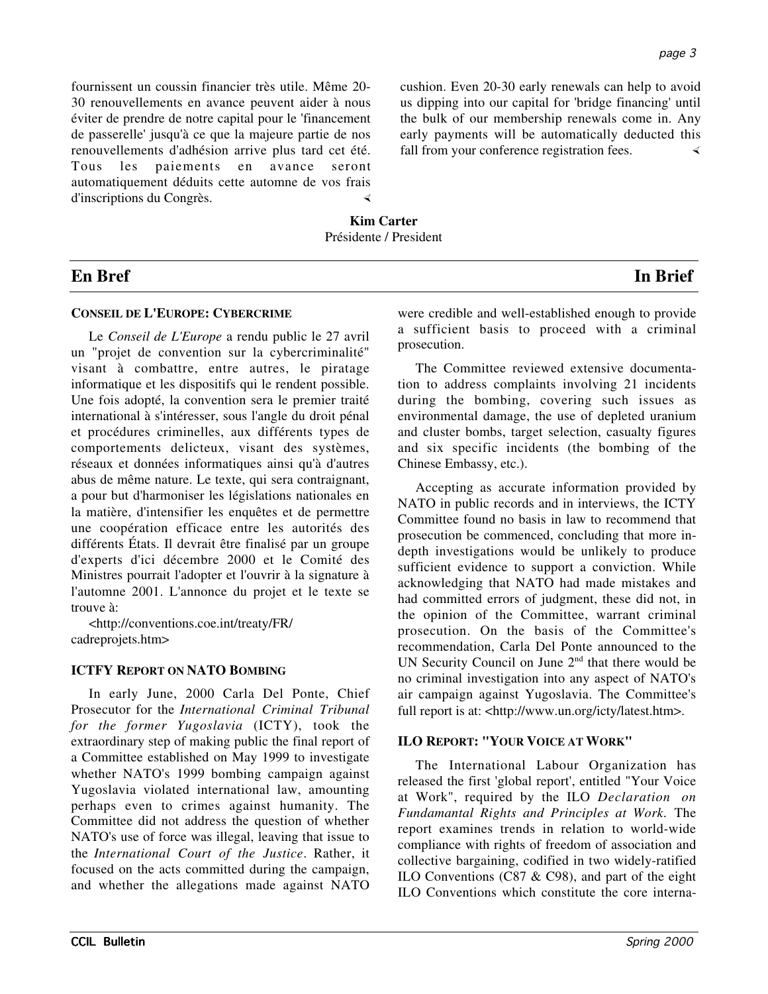fournissent un coussin financier très utile. Même 20- 30 renouvellements en avance peuvent aider à nous éviter de prendre de notre capital pour le 'financement de passerelle' jusqu'à ce que la majeure partie de nos renouvellements d'adhésion arrive plus tard cet été. Tous les paiements en avance seront automatiquement déduits cette automne de vos frais d'inscriptions du Congrès.

cushion. Even 20-30 early renewals can help to avoid us dipping into our capital for 'bridge financing' until the bulk of our membership renewals come in. Any early payments will be automatically deducted this fall from your conference registration fees.

**Kim Carter** Présidente / President

## **En Bref In Brief**

## **CONSEIL DE L'EUROPE: CYBERCRIME**

Le *Conseil de L'Europe* a rendu public le 27 avril un "projet de convention sur la cybercriminalité" visant à combattre, entre autres, le piratage informatique et les dispositifs qui le rendent possible. Une fois adopté, la convention sera le premier traité international à s'intéresser, sous l'angle du droit pénal et procédures criminelles, aux différents types de comportements delicteux, visant des systèmes, réseaux et données informatiques ainsi qu'à d'autres abus de même nature. Le texte, qui sera contraignant, a pour but d'harmoniser les législations nationales en la matière, d'intensifier les enquêtes et de permettre une coopération efficace entre les autorités des différents États. Il devrait être finalisé par un groupe d'experts d'ici décembre 2000 et le Comité des Ministres pourrait l'adopter et l'ouvrir à la signature à l'automne 2001. L'annonce du projet et le texte se trouve à:

<http://conventions.coe.int/treaty/FR/ cadreprojets.htm>

## **ICTFY REPORT ON NATO BOMBING**

In early June, 2000 Carla Del Ponte, Chief Prosecutor for the *International Criminal Tribunal for the former Yugoslavia* (ICTY), took the extraordinary step of making public the final report of a Committee established on May 1999 to investigate whether NATO's 1999 bombing campaign against Yugoslavia violated international law, amounting perhaps even to crimes against humanity. The Committee did not address the question of whether NATO's use of force was illegal, leaving that issue to the *International Court of the Justice*. Rather, it focused on the acts committed during the campaign, and whether the allegations made against NATO

were credible and well-established enough to provide a sufficient basis to proceed with a criminal prosecution.

The Committee reviewed extensive documentation to address complaints involving 21 incidents during the bombing, covering such issues as environmental damage, the use of depleted uranium and cluster bombs, target selection, casualty figures and six specific incidents (the bombing of the Chinese Embassy, etc.).

Accepting as accurate information provided by NATO in public records and in interviews, the ICTY Committee found no basis in law to recommend that prosecution be commenced, concluding that more indepth investigations would be unlikely to produce sufficient evidence to support a conviction. While acknowledging that NATO had made mistakes and had committed errors of judgment, these did not, in the opinion of the Committee, warrant criminal prosecution. On the basis of the Committee's recommendation, Carla Del Ponte announced to the UN Security Council on June  $2<sup>nd</sup>$  that there would be no criminal investigation into any aspect of NATO's air campaign against Yugoslavia. The Committee's full report is at: <http://www.un.org/icty/latest.htm>.

## **ILO REPORT: "YOUR VOICE AT WORK"**

The International Labour Organization has released the first 'global report', entitled "Your Voice at Work", required by the ILO *Declaration on Fundamantal Rights and Principles at Work*. The report examines trends in relation to world-wide compliance with rights of freedom of association and collective bargaining, codified in two widely-ratified ILO Conventions (C87 & C98), and part of the eight ILO Conventions which constitute the core interna-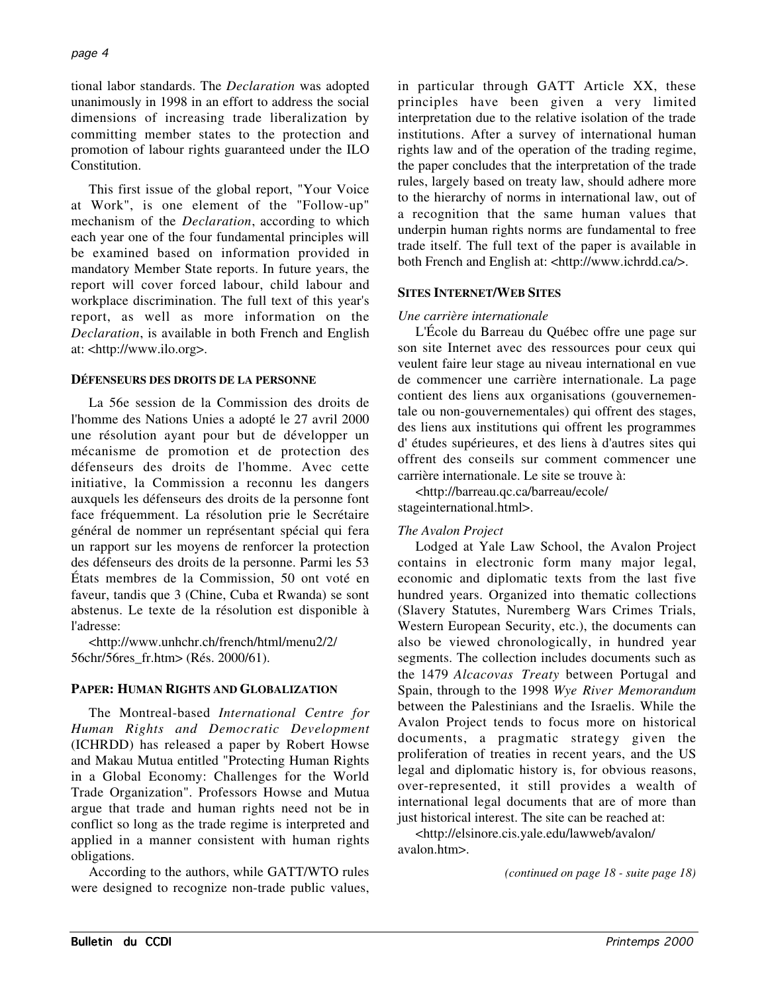tional labor standards. The *Declaration* was adopted unanimously in 1998 in an effort to address the social dimensions of increasing trade liberalization by committing member states to the protection and promotion of labour rights guaranteed under the ILO Constitution.

This first issue of the global report, "Your Voice at Work", is one element of the "Follow-up" mechanism of the *Declaration*, according to which each year one of the four fundamental principles will be examined based on information provided in mandatory Member State reports. In future years, the report will cover forced labour, child labour and workplace discrimination. The full text of this year's report, as well as more information on the *Declaration*, is available in both French and English at: <http://www.ilo.org>.

## **DÉFENSEURS DES DROITS DE LA PERSONNE**

La 56e session de la Commission des droits de l'homme des Nations Unies a adopté le 27 avril 2000 une résolution ayant pour but de développer un mécanisme de promotion et de protection des défenseurs des droits de l'homme. Avec cette initiative, la Commission a reconnu les dangers auxquels les défenseurs des droits de la personne font face fréquemment. La résolution prie le Secrétaire général de nommer un représentant spécial qui fera un rapport sur les moyens de renforcer la protection des défenseurs des droits de la personne. Parmi les 53 États membres de la Commission, 50 ont voté en faveur, tandis que 3 (Chine, Cuba et Rwanda) se sont abstenus. Le texte de la résolution est disponible à l'adresse:

<http://www.unhchr.ch/french/html/menu2/2/ 56chr/56res\_fr.htm> (Rés. 2000/61).

## **PAPER: HUMAN RIGHTS AND GLOBALIZATION**

The Montreal-based *International Centre for Human Rights and Democratic Development* (ICHRDD) has released a paper by Robert Howse and Makau Mutua entitled "Protecting Human Rights in a Global Economy: Challenges for the World Trade Organization". Professors Howse and Mutua argue that trade and human rights need not be in conflict so long as the trade regime is interpreted and applied in a manner consistent with human rights obligations.

According to the authors, while GATT/WTO rules were designed to recognize non-trade public values, in particular through GATT Article XX, these principles have been given a very limited interpretation due to the relative isolation of the trade institutions. After a survey of international human rights law and of the operation of the trading regime, the paper concludes that the interpretation of the trade rules, largely based on treaty law, should adhere more to the hierarchy of norms in international law, out of a recognition that the same human values that underpin human rights norms are fundamental to free trade itself. The full text of the paper is available in both French and English at: <http://www.ichrdd.ca/>.

#### **SITES INTERNET/WEB SITES**

## *Une carrière internationale*

L'École du Barreau du Québec offre une page sur son site Internet avec des ressources pour ceux qui veulent faire leur stage au niveau international en vue de commencer une carrière internationale. La page contient des liens aux organisations (gouvernementale ou non-gouvernementales) qui offrent des stages, des liens aux institutions qui offrent les programmes d' études supérieures, et des liens à d'autres sites qui offrent des conseils sur comment commencer une carrière internationale. Le site se trouve à:

<http://barreau.qc.ca/barreau/ecole/ stageinternational.html>.

## *The Avalon Project*

Lodged at Yale Law School, the Avalon Project contains in electronic form many major legal, economic and diplomatic texts from the last five hundred years. Organized into thematic collections (Slavery Statutes, Nuremberg Wars Crimes Trials, Western European Security, etc.), the documents can also be viewed chronologically, in hundred year segments. The collection includes documents such as the 1479 *Alcacovas Treaty* between Portugal and Spain, through to the 1998 *Wye River Memorandum* between the Palestinians and the Israelis. While the Avalon Project tends to focus more on historical documents, a pragmatic strategy given the proliferation of treaties in recent years, and the US legal and diplomatic history is, for obvious reasons, over-represented, it still provides a wealth of international legal documents that are of more than just historical interest. The site can be reached at:

<http://elsinore.cis.yale.edu/lawweb/avalon/ avalon.htm>.

*(continued on page 18 - suite page 18)*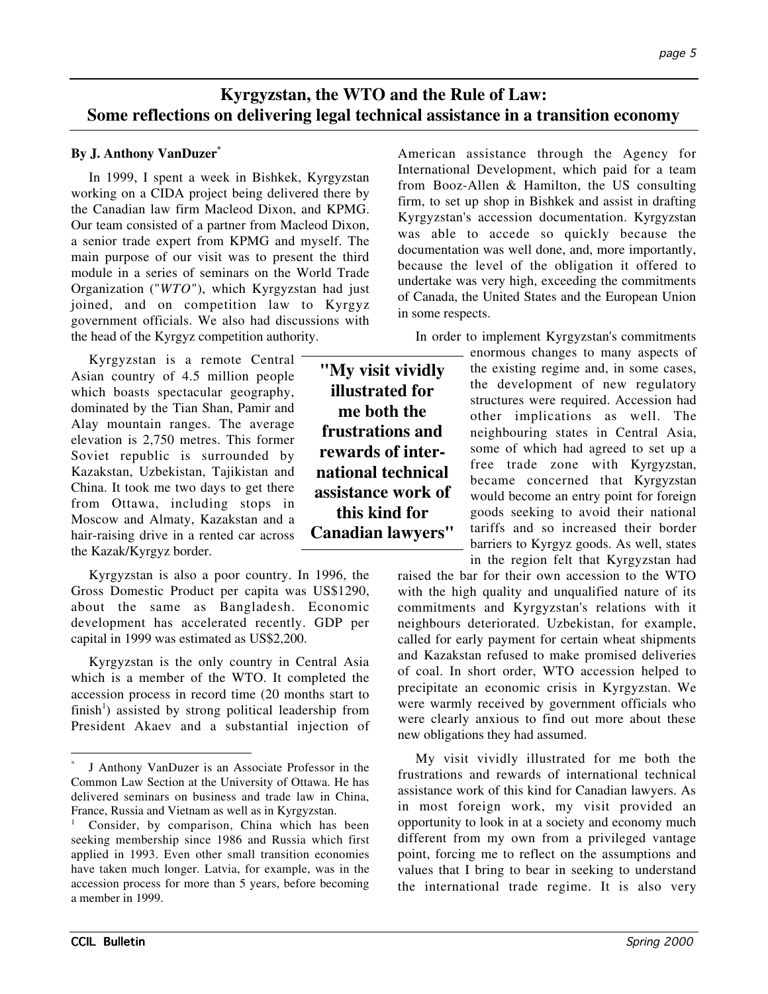# **Kyrgyzstan, the WTO and the Rule of Law: Some reflections on delivering legal technical assistance in a transition economy**

# **By J. Anthony VanDuzer\***

In 1999, I spent a week in Bishkek, Kyrgyzstan working on a CIDA project being delivered there by the Canadian law firm Macleod Dixon, and KPMG. Our team consisted of a partner from Macleod Dixon, a senior trade expert from KPMG and myself. The main purpose of our visit was to present the third module in a series of seminars on the World Trade Organization ("*WTO*"), which Kyrgyzstan had just joined, and on competition law to Kyrgyz government officials. We also had discussions with the head of the Kyrgyz competition authority.

Kyrgyzstan is a remote Central Asian country of 4.5 million people which boasts spectacular geography, dominated by the Tian Shan, Pamir and Alay mountain ranges. The average elevation is 2,750 metres. This former Soviet republic is surrounded by Kazakstan, Uzbekistan, Tajikistan and China. It took me two days to get there from Ottawa, including stops in Moscow and Almaty, Kazakstan and a hair-raising drive in a rented car across the Kazak/Kyrgyz border.

Kyrgyzstan is also a poor country. In 1996, the Gross Domestic Product per capita was US\$1290, about the same as Bangladesh. Economic development has accelerated recently. GDP per capital in 1999 was estimated as US\$2,200.

Kyrgyzstan is the only country in Central Asia which is a member of the WTO. It completed the accession process in record time (20 months start to finish<sup>1</sup>) assisted by strong political leadership from President Akaev and a substantial injection of American assistance through the Agency for International Development, which paid for a team from Booz-Allen & Hamilton, the US consulting firm, to set up shop in Bishkek and assist in drafting Kyrgyzstan's accession documentation. Kyrgyzstan was able to accede so quickly because the documentation was well done, and, more importantly, because the level of the obligation it offered to undertake was very high, exceeding the commitments of Canada, the United States and the European Union in some respects.

In order to implement Kyrgyzstan's commitments

**"My visit vividly illustrated for me both the frustrations and rewards of international technical assistance work of this kind for Canadian lawyers"**

enormous changes to many aspects of the existing regime and, in some cases, the development of new regulatory structures were required. Accession had other implications as well. The neighbouring states in Central Asia, some of which had agreed to set up a free trade zone with Kyrgyzstan, became concerned that Kyrgyzstan would become an entry point for foreign goods seeking to avoid their national tariffs and so increased their border barriers to Kyrgyz goods. As well, states in the region felt that Kyrgyzstan had

raised the bar for their own accession to the WTO with the high quality and unqualified nature of its commitments and Kyrgyzstan's relations with it neighbours deteriorated. Uzbekistan, for example, called for early payment for certain wheat shipments and Kazakstan refused to make promised deliveries of coal. In short order, WTO accession helped to precipitate an economic crisis in Kyrgyzstan. We were warmly received by government officials who were clearly anxious to find out more about these new obligations they had assumed.

My visit vividly illustrated for me both the frustrations and rewards of international technical assistance work of this kind for Canadian lawyers. As in most foreign work, my visit provided an opportunity to look in at a society and economy much different from my own from a privileged vantage point, forcing me to reflect on the assumptions and values that I bring to bear in seeking to understand the international trade regime. It is also very

J Anthony VanDuzer is an Associate Professor in the Common Law Section at the University of Ottawa. He has delivered seminars on business and trade law in China, France, Russia and Vietnam as well as in Kyrgyzstan.

Consider, by comparison, China which has been seeking membership since 1986 and Russia which first applied in 1993. Even other small transition economies have taken much longer. Latvia, for example, was in the accession process for more than 5 years, before becoming a member in 1999.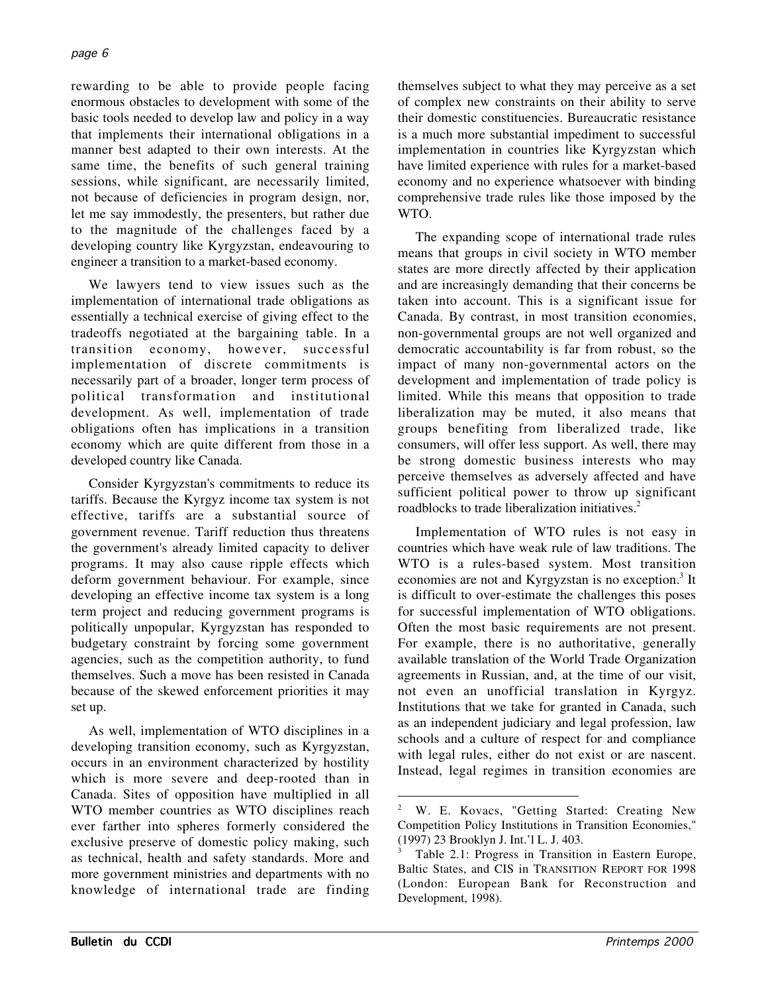rewarding to be able to provide people facing enormous obstacles to development with some of the basic tools needed to develop law and policy in a way that implements their international obligations in a manner best adapted to their own interests. At the same time, the benefits of such general training sessions, while significant, are necessarily limited, not because of deficiencies in program design, nor, let me say immodestly, the presenters, but rather due to the magnitude of the challenges faced by a developing country like Kyrgyzstan, endeavouring to engineer a transition to a market-based economy.

We lawyers tend to view issues such as the implementation of international trade obligations as essentially a technical exercise of giving effect to the tradeoffs negotiated at the bargaining table. In a transition economy, however, successful implementation of discrete commitments is necessarily part of a broader, longer term process of political transformation and institutional development. As well, implementation of trade obligations often has implications in a transition economy which are quite different from those in a developed country like Canada.

Consider Kyrgyzstan's commitments to reduce its tariffs. Because the Kyrgyz income tax system is not effective, tariffs are a substantial source of government revenue. Tariff reduction thus threatens the government's already limited capacity to deliver programs. It may also cause ripple effects which deform government behaviour. For example, since developing an effective income tax system is a long term project and reducing government programs is politically unpopular, Kyrgyzstan has responded to budgetary constraint by forcing some government agencies, such as the competition authority, to fund themselves. Such a move has been resisted in Canada because of the skewed enforcement priorities it may set up.

As well, implementation of WTO disciplines in a developing transition economy, such as Kyrgyzstan, occurs in an environment characterized by hostility which is more severe and deep-rooted than in Canada. Sites of opposition have multiplied in all WTO member countries as WTO disciplines reach ever farther into spheres formerly considered the exclusive preserve of domestic policy making, such as technical, health and safety standards. More and more government ministries and departments with no knowledge of international trade are finding themselves subject to what they may perceive as a set of complex new constraints on their ability to serve their domestic constituencies. Bureaucratic resistance is a much more substantial impediment to successful implementation in countries like Kyrgyzstan which have limited experience with rules for a market-based economy and no experience whatsoever with binding comprehensive trade rules like those imposed by the WTO.

The expanding scope of international trade rules means that groups in civil society in WTO member states are more directly affected by their application and are increasingly demanding that their concerns be taken into account. This is a significant issue for Canada. By contrast, in most transition economies, non-governmental groups are not well organized and democratic accountability is far from robust, so the impact of many non-governmental actors on the development and implementation of trade policy is limited. While this means that opposition to trade liberalization may be muted, it also means that groups benefiting from liberalized trade, like consumers, will offer less support. As well, there may be strong domestic business interests who may perceive themselves as adversely affected and have sufficient political power to throw up significant roadblocks to trade liberalization initiatives.<sup>2</sup>

Implementation of WTO rules is not easy in countries which have weak rule of law traditions. The WTO is a rules-based system. Most transition economies are not and Kyrgyzstan is no exception.<sup>3</sup> It is difficult to over-estimate the challenges this poses for successful implementation of WTO obligations. Often the most basic requirements are not present. For example, there is no authoritative, generally available translation of the World Trade Organization agreements in Russian, and, at the time of our visit, not even an unofficial translation in Kyrgyz. Institutions that we take for granted in Canada, such as an independent judiciary and legal profession, law schools and a culture of respect for and compliance with legal rules, either do not exist or are nascent. Instead, legal regimes in transition economies are

W. E. Kovacs, "Getting Started: Creating New Competition Policy Institutions in Transition Economies," (1997) 23 Brooklyn J. Int.'l L. J. 403.

Table 2.1: Progress in Transition in Eastern Europe, Baltic States, and CIS in TRANSITION REPORT FOR 1998 (London: European Bank for Reconstruction and Development, 1998).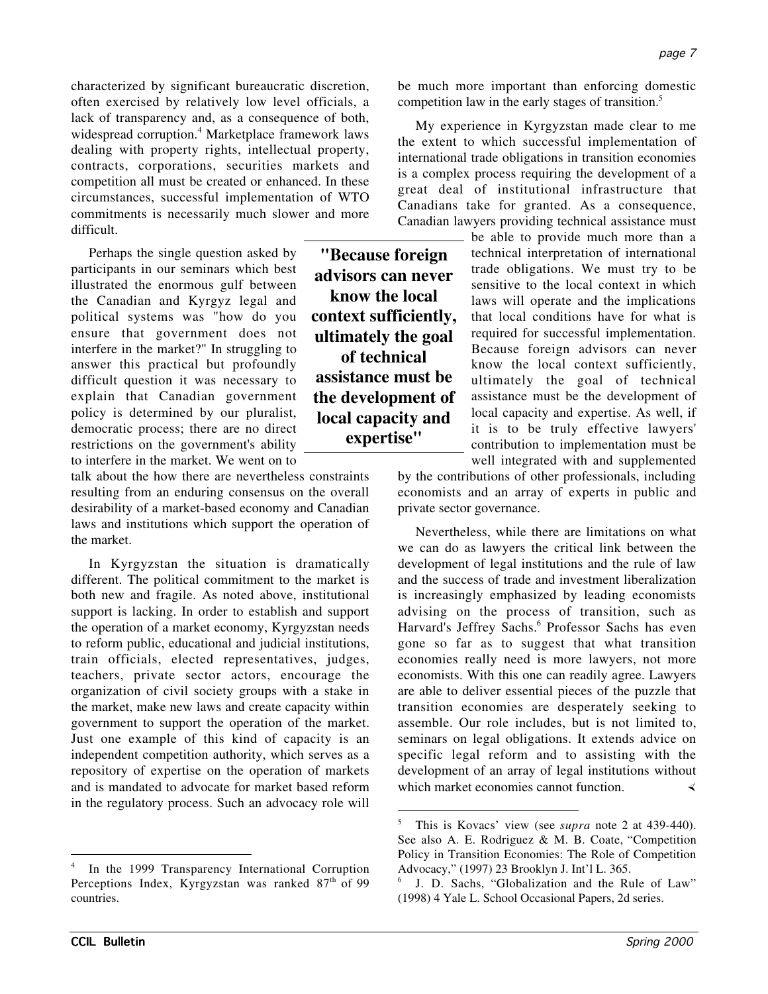characterized by significant bureaucratic discretion, often exercised by relatively low level officials, a lack of transparency and, as a consequence of both, widespread corruption.<sup>4</sup> Marketplace framework laws dealing with property rights, intellectual property, contracts, corporations, securities markets and competition all must be created or enhanced. In these circumstances, successful implementation of WTO commitments is necessarily much slower and more difficult.

Perhaps the single question asked by participants in our seminars which best illustrated the enormous gulf between the Canadian and Kyrgyz legal and political systems was "how do you ensure that government does not interfere in the market?" In struggling to answer this practical but profoundly difficult question it was necessary to explain that Canadian government policy is determined by our pluralist, democratic process; there are no direct restrictions on the government's ability to interfere in the market. We went on to

talk about the how there are nevertheless constraints resulting from an enduring consensus on the overall desirability of a market-based economy and Canadian laws and institutions which support the operation of the market.

In Kyrgyzstan the situation is dramatically different. The political commitment to the market is both new and fragile. As noted above, institutional support is lacking. In order to establish and support the operation of a market economy, Kyrgyzstan needs to reform public, educational and judicial institutions, train officials, elected representatives, judges, teachers, private sector actors, encourage the organization of civil society groups with a stake in the market, make new laws and create capacity within government to support the operation of the market. Just one example of this kind of capacity is an independent competition authority, which serves as a repository of expertise on the operation of markets and is mandated to advocate for market based reform in the regulatory process. Such an advocacy role will

**"Because foreign advisors can never know the local context sufficiently, ultimately the goal of technical assistance must be the development of local capacity and expertise"**

be much more important than enforcing domestic competition law in the early stages of transition.<sup>5</sup>

My experience in Kyrgyzstan made clear to me the extent to which successful implementation of international trade obligations in transition economies is a complex process requiring the development of a great deal of institutional infrastructure that Canadians take for granted. As a consequence, Canadian lawyers providing technical assistance must

be able to provide much more than a technical interpretation of international trade obligations. We must try to be sensitive to the local context in which laws will operate and the implications that local conditions have for what is required for successful implementation. Because foreign advisors can never know the local context sufficiently, ultimately the goal of technical assistance must be the development of local capacity and expertise. As well, if it is to be truly effective lawyers' contribution to implementation must be well integrated with and supplemented

by the contributions of other professionals, including economists and an array of experts in public and private sector governance.

Nevertheless, while there are limitations on what we can do as lawyers the critical link between the development of legal institutions and the rule of law and the success of trade and investment liberalization is increasingly emphasized by leading economists advising on the process of transition, such as Harvard's Jeffrey Sachs.<sup>6</sup> Professor Sachs has even gone so far as to suggest that what transition economies really need is more lawyers, not more economists. With this one can readily agree. Lawyers are able to deliver essential pieces of the puzzle that transition economies are desperately seeking to assemble. Our role includes, but is not limited to, seminars on legal obligations. It extends advice on specific legal reform and to assisting with the development of an array of legal institutions without which market economies cannot function.

In the 1999 Transparency International Corruption Perceptions Index, Kyrgyzstan was ranked 87<sup>th</sup> of 99 countries.

 <sup>5</sup> This is Kovacs' view (see *supra* note 2 at 439-440). See also A. E. Rodriguez & M. B. Coate, "Competition Policy in Transition Economies: The Role of Competition Advocacy," (1997) 23 Brooklyn J. Int'l L. 365.

J. D. Sachs, "Globalization and the Rule of Law" (1998) 4 Yale L. School Occasional Papers, 2d series.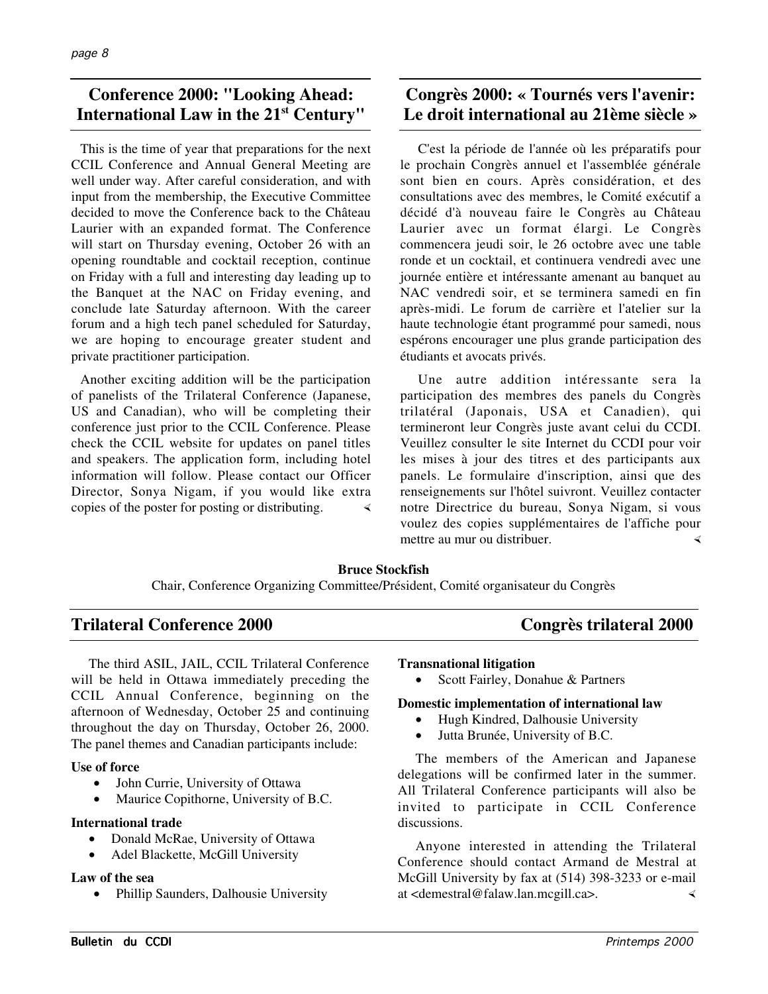## **Conference 2000: "Looking Ahead: International Law in the 21st Century"**

This is the time of year that preparations for the next CCIL Conference and Annual General Meeting are well under way. After careful consideration, and with input from the membership, the Executive Committee decided to move the Conference back to the Château Laurier with an expanded format. The Conference will start on Thursday evening, October 26 with an opening roundtable and cocktail reception, continue on Friday with a full and interesting day leading up to the Banquet at the NAC on Friday evening, and conclude late Saturday afternoon. With the career forum and a high tech panel scheduled for Saturday, we are hoping to encourage greater student and private practitioner participation.

Another exciting addition will be the participation of panelists of the Trilateral Conference (Japanese, US and Canadian), who will be completing their conference just prior to the CCIL Conference. Please check the CCIL website for updates on panel titles and speakers. The application form, including hotel information will follow. Please contact our Officer Director, Sonya Nigam, if you would like extra copies of the poster for posting or distributing.

# **Congrès 2000: « Tournés vers l'avenir: Le droit international au 21ème siècle »**

C'est la période de l'année où les préparatifs pour le prochain Congrès annuel et l'assemblée générale sont bien en cours. Après considération, et des consultations avec des membres, le Comité exécutif a décidé d'à nouveau faire le Congrès au Château Laurier avec un format élargi. Le Congrès commencera jeudi soir, le 26 octobre avec une table ronde et un cocktail, et continuera vendredi avec une journée entière et intéressante amenant au banquet au NAC vendredi soir, et se terminera samedi en fin après-midi. Le forum de carrière et l'atelier sur la haute technologie étant programmé pour samedi, nous espérons encourager une plus grande participation des étudiants et avocats privés.

Une autre addition intéressante sera la participation des membres des panels du Congrès trilatéral (Japonais, USA et Canadien), qui termineront leur Congrès juste avant celui du CCDI. Veuillez consulter le site Internet du CCDI pour voir les mises à jour des titres et des participants aux panels. Le formulaire d'inscription, ainsi que des renseignements sur l'hôtel suivront. Veuillez contacter notre Directrice du bureau, Sonya Nigam, si vous voulez des copies supplémentaires de l'affiche pour mettre au mur ou distribuer.

## **Bruce Stockfish**

Chair, Conference Organizing Committee/Président, Comité organisateur du Congrès

## **Trilateral Conference 2000 Congrès trilateral 2000**

The third ASIL, JAIL, CCIL Trilateral Conference will be held in Ottawa immediately preceding the CCIL Annual Conference, beginning on the afternoon of Wednesday, October 25 and continuing throughout the day on Thursday, October 26, 2000. The panel themes and Canadian participants include:

## **Use of force**

- John Currie, University of Ottawa
- Maurice Copithorne, University of B.C.

## **International trade**

- Donald McRae, University of Ottawa
- Adel Blackette, McGill University

## **Law of the sea**

• Phillip Saunders, Dalhousie University

## **Transnational litigation**

• Scott Fairley, Donahue & Partners

## **Domestic implementation of international law**

- Hugh Kindred, Dalhousie University
- Jutta Brunée, University of B.C.

The members of the American and Japanese delegations will be confirmed later in the summer. All Trilateral Conference participants will also be invited to participate in CCIL Conference discussions.

Anyone interested in attending the Trilateral Conference should contact Armand de Mestral at McGill University by fax at (514) 398-3233 or e-mail at <demestral@falaw.lan.mcgill.ca>.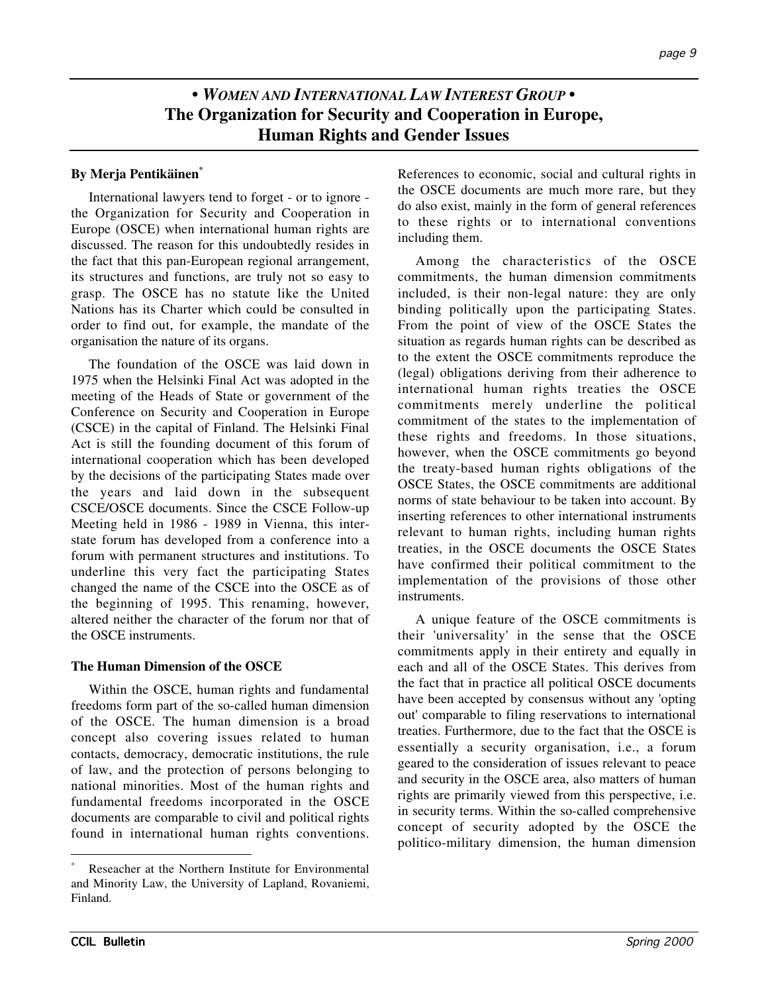# **•** *WOMEN AND INTERNATIONAL LAW INTEREST GROUP* **• The Organization for Security and Cooperation in Europe, Human Rights and Gender Issues**

## **By Merja Pentikäinen\***

International lawyers tend to forget - or to ignore the Organization for Security and Cooperation in Europe (OSCE) when international human rights are discussed. The reason for this undoubtedly resides in the fact that this pan-European regional arrangement, its structures and functions, are truly not so easy to grasp. The OSCE has no statute like the United Nations has its Charter which could be consulted in order to find out, for example, the mandate of the organisation the nature of its organs.

The foundation of the OSCE was laid down in 1975 when the Helsinki Final Act was adopted in the meeting of the Heads of State or government of the Conference on Security and Cooperation in Europe (CSCE) in the capital of Finland. The Helsinki Final Act is still the founding document of this forum of international cooperation which has been developed by the decisions of the participating States made over the years and laid down in the subsequent CSCE/OSCE documents. Since the CSCE Follow-up Meeting held in 1986 - 1989 in Vienna, this interstate forum has developed from a conference into a forum with permanent structures and institutions. To underline this very fact the participating States changed the name of the CSCE into the OSCE as of the beginning of 1995. This renaming, however, altered neither the character of the forum nor that of the OSCE instruments.

## **The Human Dimension of the OSCE**

Within the OSCE, human rights and fundamental freedoms form part of the so-called human dimension of the OSCE. The human dimension is a broad concept also covering issues related to human contacts, democracy, democratic institutions, the rule of law, and the protection of persons belonging to national minorities. Most of the human rights and fundamental freedoms incorporated in the OSCE documents are comparable to civil and political rights found in international human rights conventions. References to economic, social and cultural rights in the OSCE documents are much more rare, but they do also exist, mainly in the form of general references to these rights or to international conventions including them.

Among the characteristics of the OSCE commitments, the human dimension commitments included, is their non-legal nature: they are only binding politically upon the participating States. From the point of view of the OSCE States the situation as regards human rights can be described as to the extent the OSCE commitments reproduce the (legal) obligations deriving from their adherence to international human rights treaties the OSCE commitments merely underline the political commitment of the states to the implementation of these rights and freedoms. In those situations, however, when the OSCE commitments go beyond the treaty-based human rights obligations of the OSCE States, the OSCE commitments are additional norms of state behaviour to be taken into account. By inserting references to other international instruments relevant to human rights, including human rights treaties, in the OSCE documents the OSCE States have confirmed their political commitment to the implementation of the provisions of those other instruments.

A unique feature of the OSCE commitments is their 'universality' in the sense that the OSCE commitments apply in their entirety and equally in each and all of the OSCE States. This derives from the fact that in practice all political OSCE documents have been accepted by consensus without any 'opting out' comparable to filing reservations to international treaties. Furthermore, due to the fact that the OSCE is essentially a security organisation, i.e., a forum geared to the consideration of issues relevant to peace and security in the OSCE area, also matters of human rights are primarily viewed from this perspective, i.e. in security terms. Within the so-called comprehensive concept of security adopted by the OSCE the politico-military dimension, the human dimension

Reseacher at the Northern Institute for Environmental and Minority Law, the University of Lapland, Rovaniemi, Finland.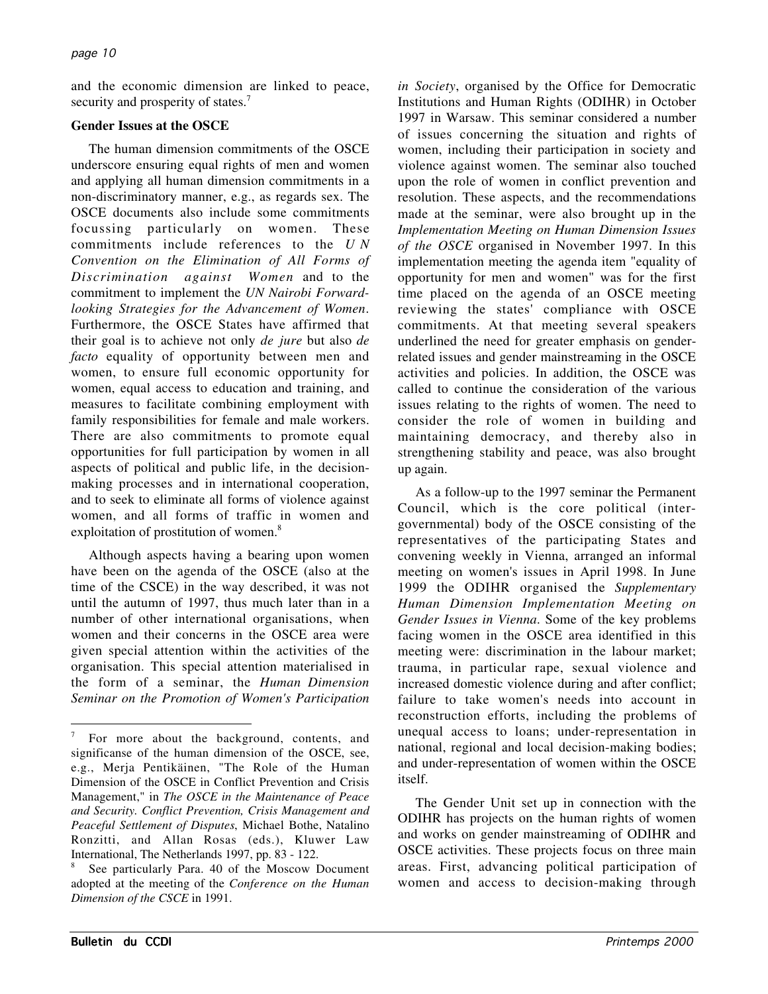and the economic dimension are linked to peace, security and prosperity of states.<sup>7</sup>

## **Gender Issues at the OSCE**

The human dimension commitments of the OSCE underscore ensuring equal rights of men and women and applying all human dimension commitments in a non-discriminatory manner, e.g., as regards sex. The OSCE documents also include some commitments focussing particularly on women. These commitments include references to the *U N Convention on the Elimination of All Forms of Discrimination against Women* and to the commitment to implement the *UN Nairobi Forwardlooking Strategies for the Advancement of Women*. Furthermore, the OSCE States have affirmed that their goal is to achieve not only *de jure* but also *de facto* equality of opportunity between men and women, to ensure full economic opportunity for women, equal access to education and training, and measures to facilitate combining employment with family responsibilities for female and male workers. There are also commitments to promote equal opportunities for full participation by women in all aspects of political and public life, in the decisionmaking processes and in international cooperation, and to seek to eliminate all forms of violence against women, and all forms of traffic in women and exploitation of prostitution of women.<sup>8</sup>

Although aspects having a bearing upon women have been on the agenda of the OSCE (also at the time of the CSCE) in the way described, it was not until the autumn of 1997, thus much later than in a number of other international organisations, when women and their concerns in the OSCE area were given special attention within the activities of the organisation. This special attention materialised in the form of a seminar, the *Human Dimension Seminar on the Promotion of Women's Participation*

*in Society*, organised by the Office for Democratic Institutions and Human Rights (ODIHR) in October 1997 in Warsaw. This seminar considered a number of issues concerning the situation and rights of women, including their participation in society and violence against women. The seminar also touched upon the role of women in conflict prevention and resolution. These aspects, and the recommendations made at the seminar, were also brought up in the *Implementation Meeting on Human Dimension Issues of the OSCE* organised in November 1997. In this implementation meeting the agenda item "equality of opportunity for men and women" was for the first time placed on the agenda of an OSCE meeting reviewing the states' compliance with OSCE commitments. At that meeting several speakers underlined the need for greater emphasis on genderrelated issues and gender mainstreaming in the OSCE activities and policies. In addition, the OSCE was called to continue the consideration of the various issues relating to the rights of women. The need to consider the role of women in building and maintaining democracy, and thereby also in strengthening stability and peace, was also brought up again.

As a follow-up to the 1997 seminar the Permanent Council, which is the core political (intergovernmental) body of the OSCE consisting of the representatives of the participating States and convening weekly in Vienna, arranged an informal meeting on women's issues in April 1998. In June 1999 the ODIHR organised the *Supplementary Human Dimension Implementation Meeting on Gender Issues in Vienna*. Some of the key problems facing women in the OSCE area identified in this meeting were: discrimination in the labour market; trauma, in particular rape, sexual violence and increased domestic violence during and after conflict; failure to take women's needs into account in reconstruction efforts, including the problems of unequal access to loans; under-representation in national, regional and local decision-making bodies; and under-representation of women within the OSCE itself.

The Gender Unit set up in connection with the ODIHR has projects on the human rights of women and works on gender mainstreaming of ODIHR and OSCE activities. These projects focus on three main areas. First, advancing political participation of women and access to decision-making through

For more about the background, contents, and significanse of the human dimension of the OSCE, see, e.g., Merja Pentikäinen, "The Role of the Human Dimension of the OSCE in Conflict Prevention and Crisis Management," in *The OSCE in the Maintenance of Peace and Security. Conflict Prevention, Crisis Management and Peaceful Settlement of Disputes*, Michael Bothe, Natalino Ronzitti, and Allan Rosas (eds.), Kluwer Law International, The Netherlands 1997, pp. 83 - 122.

See particularly Para. 40 of the Moscow Document adopted at the meeting of the *Conference on the Human Dimension of the CSCE* in 1991.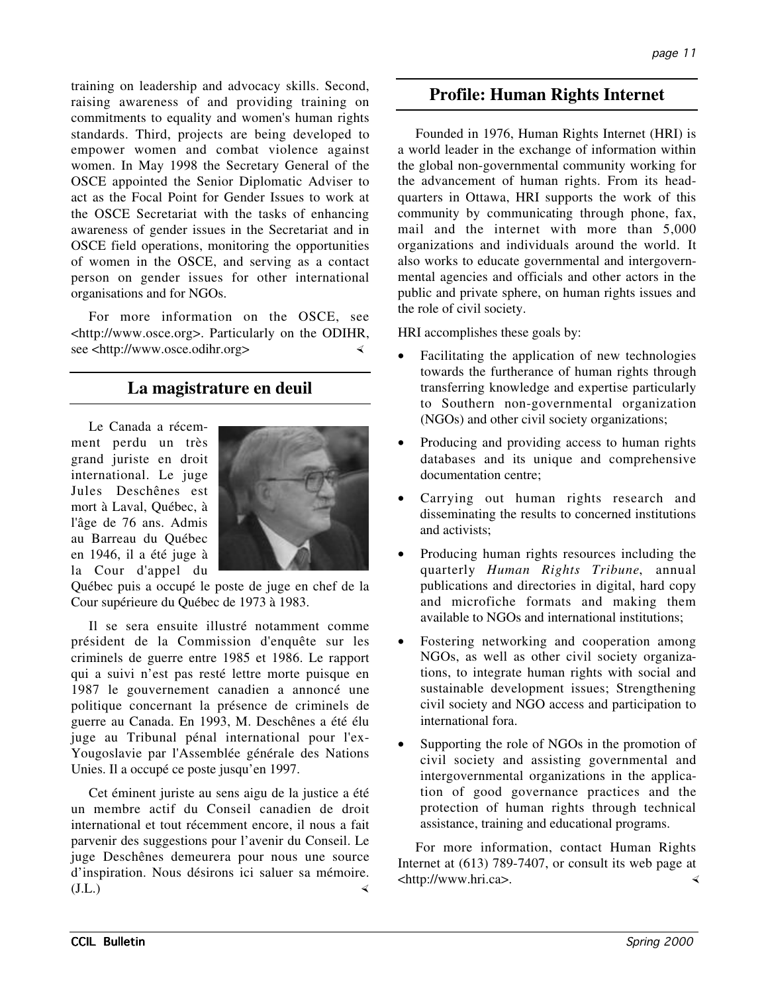training on leadership and advocacy skills. Second, raising awareness of and providing training on commitments to equality and women's human rights standards. Third, projects are being developed to empower women and combat violence against women. In May 1998 the Secretary General of the OSCE appointed the Senior Diplomatic Adviser to act as the Focal Point for Gender Issues to work at the OSCE Secretariat with the tasks of enhancing awareness of gender issues in the Secretariat and in OSCE field operations, monitoring the opportunities of women in the OSCE, and serving as a contact person on gender issues for other international organisations and for NGOs.

For more information on the OSCE, see <http://www.osce.org>. Particularly on the ODIHR, see <http://www.osce.odihr.org>

# **La magistrature en deuil**

Le Canada a récemment perdu un très grand juriste en droit international. Le juge Jules Deschênes est mort à Laval, Québec, à l'âge de 76 ans. Admis au Barreau du Québec en 1946, il a été juge à la Cour d'appel du



Québec puis a occupé le poste de juge en chef de la Cour supérieure du Québec de 1973 à 1983.

Il se sera ensuite illustré notamment comme président de la Commission d'enquête sur les criminels de guerre entre 1985 et 1986. Le rapport qui a suivi n'est pas resté lettre morte puisque en 1987 le gouvernement canadien a annoncé une politique concernant la présence de criminels de guerre au Canada. En 1993, M. Deschênes a été élu juge au Tribunal pénal international pour l'ex-Yougoslavie par l'Assemblée générale des Nations Unies. Il a occupé ce poste jusqu'en 1997.

Cet éminent juriste au sens aigu de la justice a été un membre actif du Conseil canadien de droit international et tout récemment encore, il nous a fait parvenir des suggestions pour l'avenir du Conseil. Le juge Deschênes demeurera pour nous une source d'inspiration. Nous désirons ici saluer sa mémoire. (J.L.)

## **Profile: Human Rights Internet**

Founded in 1976, Human Rights Internet (HRI) is a world leader in the exchange of information within the global non-governmental community working for the advancement of human rights. From its headquarters in Ottawa, HRI supports the work of this community by communicating through phone, fax, mail and the internet with more than 5,000 organizations and individuals around the world. It also works to educate governmental and intergovernmental agencies and officials and other actors in the public and private sphere, on human rights issues and the role of civil society.

HRI accomplishes these goals by:

- Facilitating the application of new technologies towards the furtherance of human rights through transferring knowledge and expertise particularly to Southern non-governmental organization (NGOs) and other civil society organizations;
- Producing and providing access to human rights databases and its unique and comprehensive documentation centre;
- Carrying out human rights research and disseminating the results to concerned institutions and activists;
- Producing human rights resources including the quarterly *Human Rights Tribune*, annual publications and directories in digital, hard copy and microfiche formats and making them available to NGOs and international institutions;
- Fostering networking and cooperation among NGOs, as well as other civil society organizations, to integrate human rights with social and sustainable development issues; Strengthening civil society and NGO access and participation to international fora.
- Supporting the role of NGOs in the promotion of civil society and assisting governmental and intergovernmental organizations in the application of good governance practices and the protection of human rights through technical assistance, training and educational programs.

For more information, contact Human Rights Internet at (613) 789-7407, or consult its web page at <http://www.hri.ca>.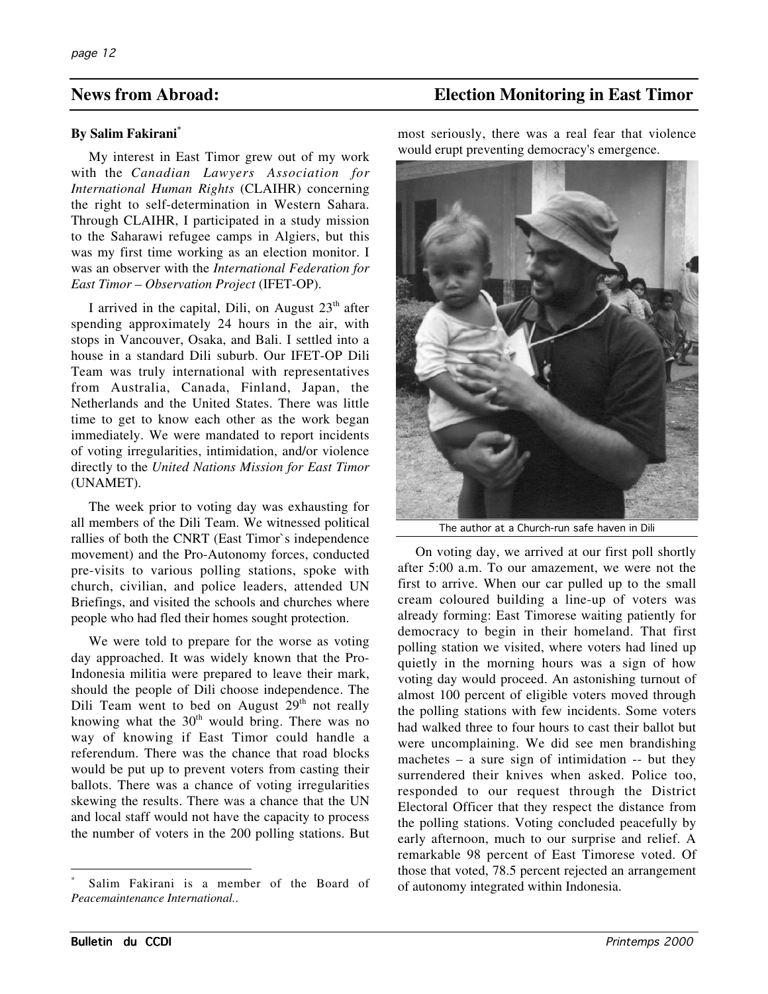## **By Salim Fakirani\***

My interest in East Timor grew out of my work with the *Canadian Lawyers Association for International Human Rights* (CLAIHR) concerning the right to self-determination in Western Sahara. Through CLAIHR, I participated in a study mission to the Saharawi refugee camps in Algiers, but this was my first time working as an election monitor. I was an observer with the *International Federation for East Timor – Observation Project* (IFET-OP).

I arrived in the capital, Dili, on August  $23<sup>th</sup>$  after spending approximately 24 hours in the air, with stops in Vancouver, Osaka, and Bali. I settled into a house in a standard Dili suburb. Our IFET-OP Dili Team was truly international with representatives from Australia, Canada, Finland, Japan, the Netherlands and the United States. There was little time to get to know each other as the work began immediately. We were mandated to report incidents of voting irregularities, intimidation, and/or violence directly to the *United Nations Mission for East Timor* (UNAMET).

The week prior to voting day was exhausting for all members of the Dili Team. We witnessed political rallies of both the CNRT (East Timor`s independence movement) and the Pro-Autonomy forces, conducted pre-visits to various polling stations, spoke with church, civilian, and police leaders, attended UN Briefings, and visited the schools and churches where people who had fled their homes sought protection.

We were told to prepare for the worse as voting day approached. It was widely known that the Pro-Indonesia militia were prepared to leave their mark, should the people of Dili choose independence. The Dili Team went to bed on August  $29<sup>th</sup>$  not really knowing what the  $30<sup>th</sup>$  would bring. There was no way of knowing if East Timor could handle a referendum. There was the chance that road blocks would be put up to prevent voters from casting their ballots. There was a chance of voting irregularities skewing the results. There was a chance that the UN and local staff would not have the capacity to process the number of voters in the 200 polling stations. But

## **News from Abroad: Election Monitoring in East Timor**

most seriously, there was a real fear that violence would erupt preventing democracy's emergence.



The author at a Church-run safe haven in Dili

On voting day, we arrived at our first poll shortly after 5:00 a.m. To our amazement, we were not the first to arrive. When our car pulled up to the small cream coloured building a line-up of voters was already forming: East Timorese waiting patiently for democracy to begin in their homeland. That first polling station we visited, where voters had lined up quietly in the morning hours was a sign of how voting day would proceed. An astonishing turnout of almost 100 percent of eligible voters moved through the polling stations with few incidents. Some voters had walked three to four hours to cast their ballot but were uncomplaining. We did see men brandishing machetes – a sure sign of intimidation -- but they surrendered their knives when asked. Police too, responded to our request through the District Electoral Officer that they respect the distance from the polling stations. Voting concluded peacefully by early afternoon, much to our surprise and relief. A remarkable 98 percent of East Timorese voted. Of those that voted, 78.5 percent rejected an arrangement of autonomy integrated within Indonesia.

 $\overline{a}$ 

Salim Fakirani is a member of the Board of *Peacemaintenance International.*.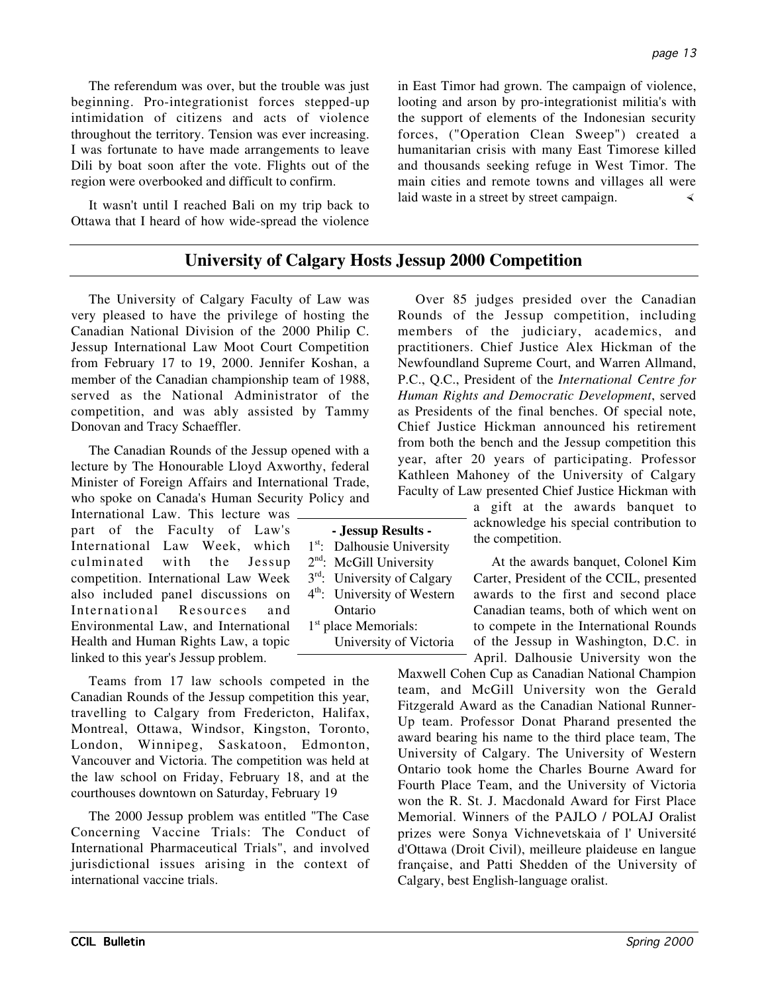The referendum was over, but the trouble was just beginning. Pro-integrationist forces stepped-up intimidation of citizens and acts of violence throughout the territory. Tension was ever increasing. I was fortunate to have made arrangements to leave Dili by boat soon after the vote. Flights out of the region were overbooked and difficult to confirm.

It wasn't until I reached Bali on my trip back to Ottawa that I heard of how wide-spread the violence in East Timor had grown. The campaign of violence, looting and arson by pro-integrationist militia's with the support of elements of the Indonesian security forces, ("Operation Clean Sweep") created a humanitarian crisis with many East Timorese killed and thousands seeking refuge in West Timor. The main cities and remote towns and villages all were laid waste in a street by street campaign.

## **University of Calgary Hosts Jessup 2000 Competition**

The University of Calgary Faculty of Law was very pleased to have the privilege of hosting the Canadian National Division of the 2000 Philip C. Jessup International Law Moot Court Competition from February 17 to 19, 2000. Jennifer Koshan, a member of the Canadian championship team of 1988, served as the National Administrator of the competition, and was ably assisted by Tammy Donovan and Tracy Schaeffler.

The Canadian Rounds of the Jessup opened with a lecture by The Honourable Lloyd Axworthy, federal Minister of Foreign Affairs and International Trade, who spoke on Canada's Human Security Policy and

International Law. This lecture was part of the Faculty of Law's International Law Week, which culminated with the Jessup competition. International Law Week also included panel discussions on International Resources and Environmental Law, and International Health and Human Rights Law, a topic linked to this year's Jessup problem.

Teams from 17 law schools competed in the Canadian Rounds of the Jessup competition this year, travelling to Calgary from Fredericton, Halifax, Montreal, Ottawa, Windsor, Kingston, Toronto, London, Winnipeg, Saskatoon, Edmonton, Vancouver and Victoria. The competition was held at the law school on Friday, February 18, and at the courthouses downtown on Saturday, February 19

The 2000 Jessup problem was entitled "The Case Concerning Vaccine Trials: The Conduct of International Pharmaceutical Trials", and involved jurisdictional issues arising in the context of international vaccine trials.

Over 85 judges presided over the Canadian Rounds of the Jessup competition, including members of the judiciary, academics, and practitioners. Chief Justice Alex Hickman of the Newfoundland Supreme Court, and Warren Allmand, P.C., Q.C., President of the *International Centre for Human Rights and Democratic Development*, served as Presidents of the final benches. Of special note, Chief Justice Hickman announced his retirement from both the bench and the Jessup competition this year, after 20 years of participating. Professor Kathleen Mahoney of the University of Calgary Faculty of Law presented Chief Justice Hickman with

> a gift at the awards banquet to acknowledge his special contribution to the competition.

At the awards banquet, Colonel Kim Carter, President of the CCIL, presented awards to the first and second place Canadian teams, both of which went on to compete in the International Rounds of the Jessup in Washington, D.C. in April. Dalhousie University won the

Maxwell Cohen Cup as Canadian National Champion team, and McGill University won the Gerald Fitzgerald Award as the Canadian National Runner-Up team. Professor Donat Pharand presented the award bearing his name to the third place team, The University of Calgary. The University of Western Ontario took home the Charles Bourne Award for Fourth Place Team, and the University of Victoria won the R. St. J. Macdonald Award for First Place Memorial. Winners of the PAJLO / POLAJ Oralist prizes were Sonya Vichnevetskaia of l' Université d'Ottawa (Droit Civil), meilleure plaideuse en langue française, and Patti Shedden of the University of Calgary, best English-language oralist.

| - Jessup Results -               |                                         |  |  |  |
|----------------------------------|-----------------------------------------|--|--|--|
| $1^{st}$ .                       | Dalhousie University                    |  |  |  |
| $2^{\text{nd}}$ :                | McGill University                       |  |  |  |
| $3^{\text{rd}}$ .                | University of Calgary                   |  |  |  |
|                                  | 4 <sup>th</sup> : University of Western |  |  |  |
|                                  | Ontario                                 |  |  |  |
| 1 <sup>st</sup> place Memorials: |                                         |  |  |  |
|                                  | University of Victoria                  |  |  |  |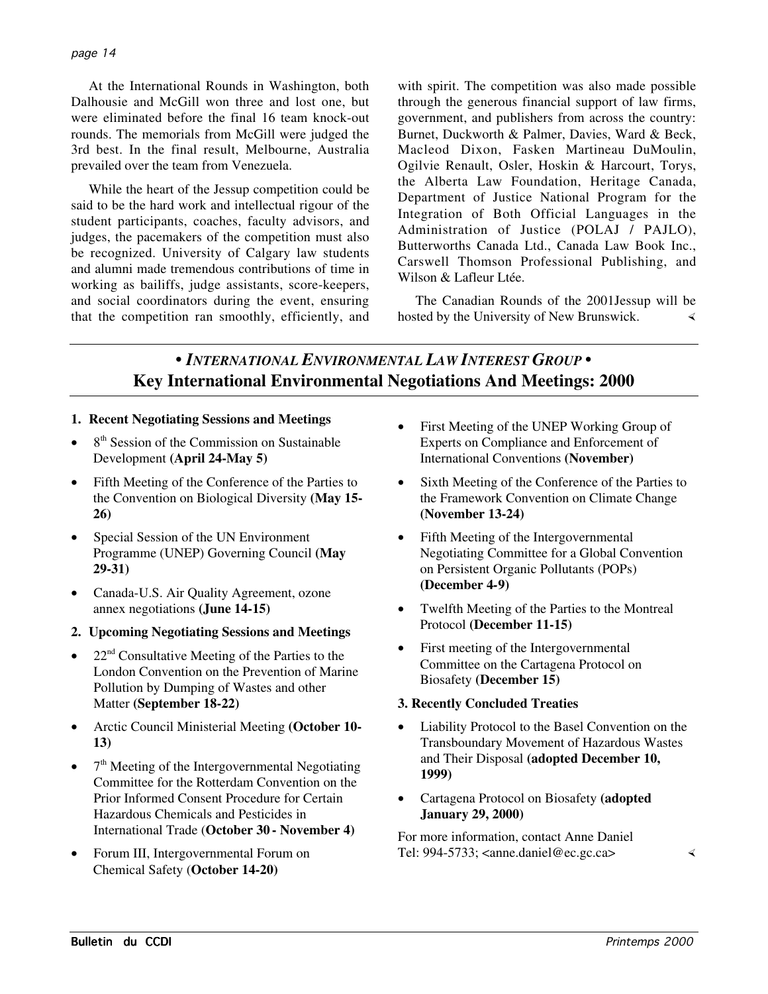At the International Rounds in Washington, both Dalhousie and McGill won three and lost one, but were eliminated before the final 16 team knock-out rounds. The memorials from McGill were judged the 3rd best. In the final result, Melbourne, Australia prevailed over the team from Venezuela.

While the heart of the Jessup competition could be said to be the hard work and intellectual rigour of the student participants, coaches, faculty advisors, and judges, the pacemakers of the competition must also be recognized. University of Calgary law students and alumni made tremendous contributions of time in working as bailiffs, judge assistants, score-keepers, and social coordinators during the event, ensuring that the competition ran smoothly, efficiently, and with spirit. The competition was also made possible through the generous financial support of law firms, government, and publishers from across the country: Burnet, Duckworth & Palmer, Davies, Ward & Beck, Macleod Dixon, Fasken Martineau DuMoulin, Ogilvie Renault, Osler, Hoskin & Harcourt, Torys, the Alberta Law Foundation, Heritage Canada, Department of Justice National Program for the Integration of Both Official Languages in the Administration of Justice (POLAJ / PAJLO), Butterworths Canada Ltd., Canada Law Book Inc., Carswell Thomson Professional Publishing, and Wilson & Lafleur Ltée.

The Canadian Rounds of the 2001Jessup will be hosted by the University of New Brunswick.

# **•** *INTERNATIONAL ENVIRONMENTAL LAW INTEREST GROUP* **• Key International Environmental Negotiations And Meetings: 2000**

- **1. Recent Negotiating Sessions and Meetings**
- $\bullet$  8<sup>th</sup> Session of the Commission on Sustainable Development **(April 24-May 5)**
- Fifth Meeting of the Conference of the Parties to the Convention on Biological Diversity **(May 15- 26)**
- Special Session of the UN Environment Programme (UNEP) Governing Council **(May 29-31)**
- Canada-U.S. Air Quality Agreement, ozone annex negotiations **(June 14-15)**
- **2. Upcoming Negotiating Sessions and Meetings**
- 22 $^{\text{nd}}$  Consultative Meeting of the Parties to the London Convention on the Prevention of Marine Pollution by Dumping of Wastes and other Matter **(September 18-22)**
- Arctic Council Ministerial Meeting **(October 10- 13)**
- 7<sup>th</sup> Meeting of the Intergovernmental Negotiating Committee for the Rotterdam Convention on the Prior Informed Consent Procedure for Certain Hazardous Chemicals and Pesticides in International Trade (**October 30 - November 4)**
- Forum III, Intergovernmental Forum on Chemical Safety (**October 14-20)**
- First Meeting of the UNEP Working Group of Experts on Compliance and Enforcement of International Conventions **(November)**
- Sixth Meeting of the Conference of the Parties to the Framework Convention on Climate Change **(November 13-24)**
- Fifth Meeting of the Intergovernmental Negotiating Committee for a Global Convention on Persistent Organic Pollutants (POPs) **(December 4***-***9)**
- Twelfth Meeting of the Parties to the Montreal Protocol **(December 11-15)**
- First meeting of the Intergovernmental Committee on the Cartagena Protocol on Biosafety **(December 15)**

## **3. Recently Concluded Treaties**

- Liability Protocol to the Basel Convention on the Transboundary Movement of Hazardous Wastes and Their Disposal **(adopted December 10, 1999)**
- Cartagena Protocol on Biosafety **(adopted January 29, 2000)**

For more information, contact Anne Daniel Tel: 994-5733; <anne.daniel@ec.gc.ca>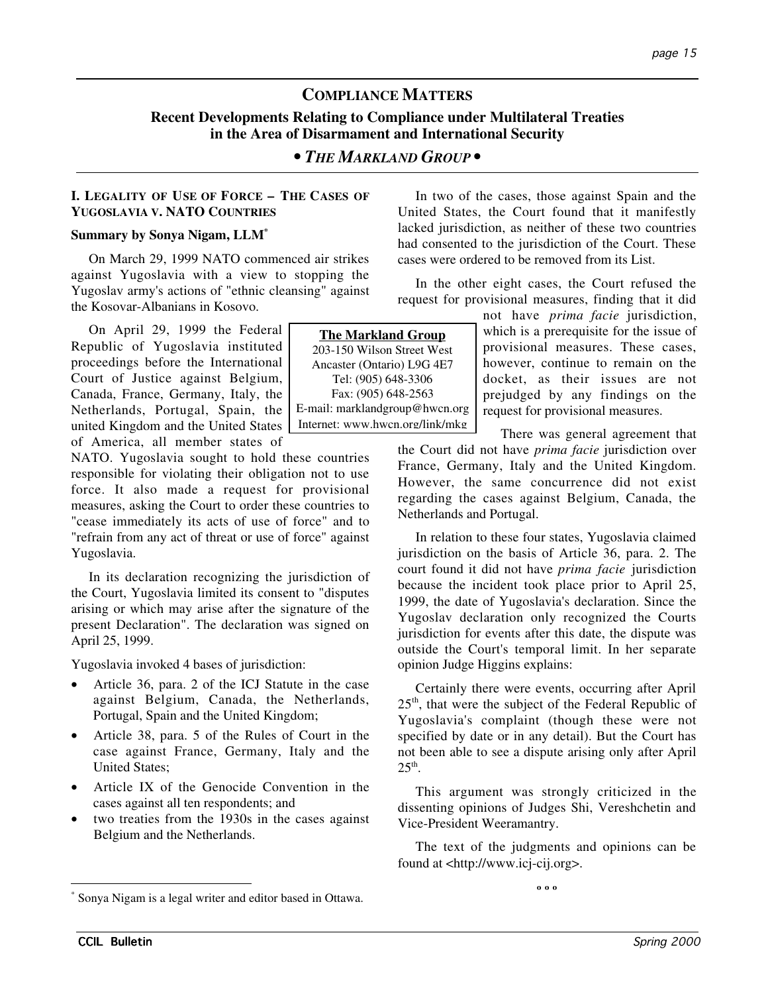# **COMPLIANCE MATTERS Recent Developments Relating to Compliance under Multilateral Treaties in the Area of Disarmament and International Security**

## *• THE MARKLAND GROUP •*

## **I. LEGALITY OF USE OF FORCE – THE CASES OF YUGOSLAVIA V. NATO COUNTRIES**

## **Summary by Sonya Nigam, LLM\***

On March 29, 1999 NATO commenced air strikes against Yugoslavia with a view to stopping the Yugoslav army's actions of "ethnic cleansing" against the Kosovar-Albanians in Kosovo.

On April 29, 1999 the Federal Republic of Yugoslavia instituted proceedings before the International Court of Justice against Belgium, Canada, France, Germany, Italy, the Netherlands, Portugal, Spain, the united Kingdom and the United States of America, all member states of

NATO. Yugoslavia sought to hold these countries responsible for violating their obligation not to use force. It also made a request for provisional measures, asking the Court to order these countries to "cease immediately its acts of use of force" and to "refrain from any act of threat or use of force" against Yugoslavia.

In its declaration recognizing the jurisdiction of the Court, Yugoslavia limited its consent to "disputes arising or which may arise after the signature of the present Declaration". The declaration was signed on April 25, 1999.

Yugoslavia invoked 4 bases of jurisdiction:

- Article 36, para. 2 of the ICJ Statute in the case against Belgium, Canada, the Netherlands, Portugal, Spain and the United Kingdom;
- Article 38, para. 5 of the Rules of Court in the case against France, Germany, Italy and the United States;
- Article IX of the Genocide Convention in the cases against all ten respondents; and
- two treaties from the 1930s in the cases against Belgium and the Netherlands.

Sonya Nigam is a legal writer and editor based in Ottawa.

In two of the cases, those against Spain and the United States, the Court found that it manifestly lacked jurisdiction, as neither of these two countries had consented to the jurisdiction of the Court. These cases were ordered to be removed from its List.

In the other eight cases, the Court refused the request for provisional measures, finding that it did

> not have *prima facie* jurisdiction, which is a prerequisite for the issue of provisional measures. These cases, however, continue to remain on the docket, as their issues are not prejudged by any findings on the request for provisional measures.

There was general agreement that the Court did not have *prima facie* jurisdiction over France, Germany, Italy and the United Kingdom. However, the same concurrence did not exist regarding the cases against Belgium, Canada, the Netherlands and Portugal.

In relation to these four states, Yugoslavia claimed jurisdiction on the basis of Article 36, para. 2. The court found it did not have *prima facie* jurisdiction because the incident took place prior to April 25, 1999, the date of Yugoslavia's declaration. Since the Yugoslav declaration only recognized the Courts jurisdiction for events after this date, the dispute was outside the Court's temporal limit. In her separate opinion Judge Higgins explains:

Certainly there were events, occurring after April 25<sup>th</sup>, that were the subject of the Federal Republic of Yugoslavia's complaint (though these were not specified by date or in any detail). But the Court has not been able to see a dispute arising only after April  $25^{\text{th}}$ .

This argument was strongly criticized in the dissenting opinions of Judges Shi, Vereshchetin and Vice-President Weeramantry.

The text of the judgments and opinions can be found at <http://www.icj-cij.org>.

**º º º**

203-150 Wilson Street West Ancaster (Ontario) L9G 4E7 Tel: (905) 648-3306 Fax: (905) 648-2563 E-mail: marklandgroup@hwcn.org Internet: www.hwcn.org/link/mkg

**The Markland Group**

\*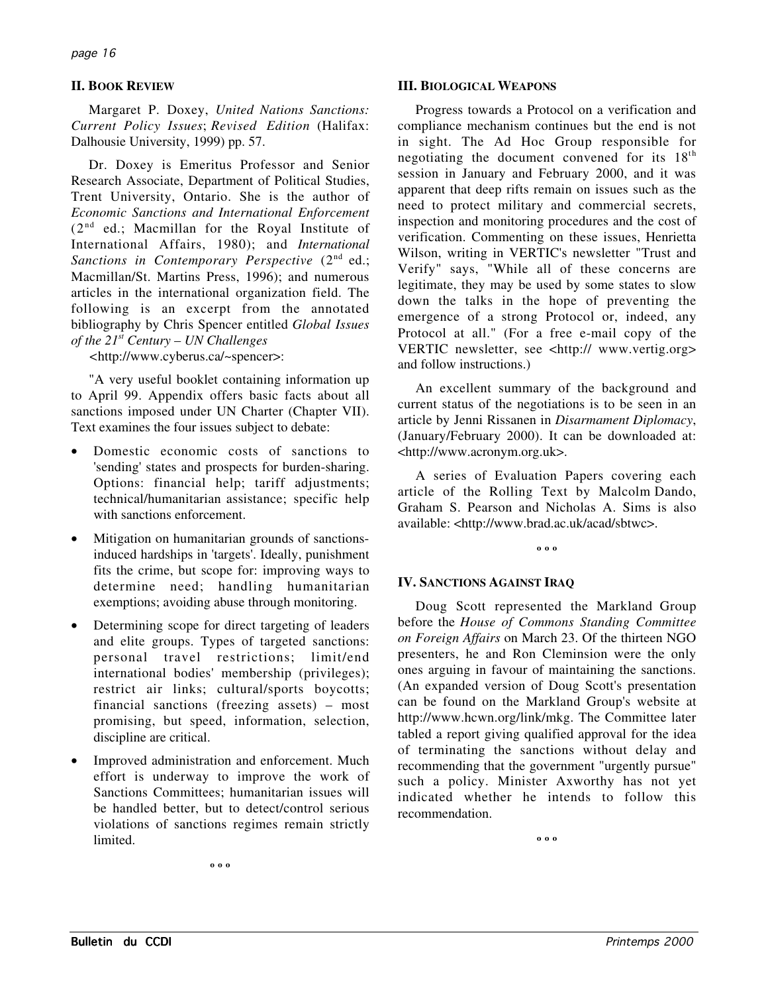## **II. BOOK REVIEW**

Margaret P. Doxey, *United Nations Sanctions: Current Policy Issues*; *Revised Edition* (Halifax: Dalhousie University, 1999) pp. 57.

Dr. Doxey is Emeritus Professor and Senior Research Associate, Department of Political Studies, Trent University, Ontario. She is the author of *Economic Sanctions and International Enforcement*  $(2^{nd}$  ed.; Macmillan for the Royal Institute of International Affairs, 1980); and *International* Sanctions in Contemporary Perspective (2<sup>nd</sup> ed.; Macmillan/St. Martins Press, 1996); and numerous articles in the international organization field. The following is an excerpt from the annotated bibliography by Chris Spencer entitled *Global Issues of the 21st Century – UN Challenges*

*<*http://www.cyberus.ca/~spencer>:

"A very useful booklet containing information up to April 99. Appendix offers basic facts about all sanctions imposed under UN Charter (Chapter VII). Text examines the four issues subject to debate:

- Domestic economic costs of sanctions to 'sending' states and prospects for burden-sharing. Options: financial help; tariff adjustments; technical/humanitarian assistance; specific help with sanctions enforcement.
- Mitigation on humanitarian grounds of sanctionsinduced hardships in 'targets'. Ideally, punishment fits the crime, but scope for: improving ways to determine need; handling humanitarian exemptions; avoiding abuse through monitoring.
- Determining scope for direct targeting of leaders and elite groups. Types of targeted sanctions: personal travel restrictions; limit/end international bodies' membership (privileges); restrict air links; cultural/sports boycotts; financial sanctions (freezing assets) – most promising, but speed, information, selection, discipline are critical.
- Improved administration and enforcement. Much effort is underway to improve the work of Sanctions Committees; humanitarian issues will be handled better, but to detect/control serious violations of sanctions regimes remain strictly limited.

### **III. BIOLOGICAL WEAPONS**

Progress towards a Protocol on a verification and compliance mechanism continues but the end is not in sight. The Ad Hoc Group responsible for negotiating the document convened for its  $18<sup>th</sup>$ session in January and February 2000, and it was apparent that deep rifts remain on issues such as the need to protect military and commercial secrets, inspection and monitoring procedures and the cost of verification. Commenting on these issues, Henrietta Wilson, writing in VERTIC's newsletter "Trust and Verify" says, "While all of these concerns are legitimate, they may be used by some states to slow down the talks in the hope of preventing the emergence of a strong Protocol or, indeed, any Protocol at all." (For a free e-mail copy of the VERTIC newsletter, see <http:// www.vertig.org> and follow instructions.)

An excellent summary of the background and current status of the negotiations is to be seen in an article by Jenni Rissanen in *Disarmament Diplomacy*, (January/February 2000). It can be downloaded at: <http://www.acronym.org.uk>.

A series of Evaluation Papers covering each article of the Rolling Text by Malcolm Dando, Graham S. Pearson and Nicholas A. Sims is also available: <http://www.brad.ac.uk/acad/sbtwc>.

**º º º**

## **IV. SANCTIONS AGAINST IRAQ**

Doug Scott represented the Markland Group before the *House of Commons Standing Committee on Foreign Affairs* on March 23. Of the thirteen NGO presenters, he and Ron Cleminsion were the only ones arguing in favour of maintaining the sanctions. (An expanded version of Doug Scott's presentation can be found on the Markland Group's website at http://www.hcwn.org/link/mkg. The Committee later tabled a report giving qualified approval for the idea of terminating the sanctions without delay and recommending that the government "urgently pursue" such a policy. Minister Axworthy has not yet indicated whether he intends to follow this recommendation.

**º º º**

**º º º**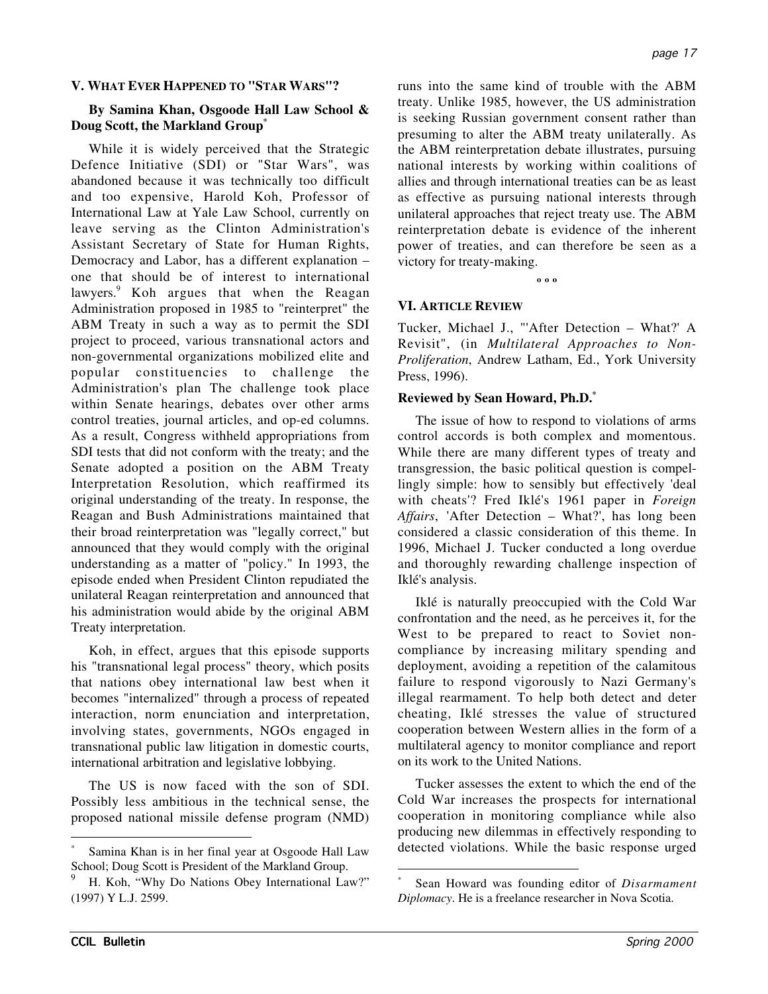## **V. WHAT EVER HAPPENED TO "STAR WARS"?**

## **By Samina Khan, Osgoode Hall Law School & Doug Scott, the Markland Group\***

While it is widely perceived that the Strategic Defence Initiative (SDI) or "Star Wars", was abandoned because it was technically too difficult and too expensive, Harold Koh, Professor of International Law at Yale Law School, currently on leave serving as the Clinton Administration's Assistant Secretary of State for Human Rights, Democracy and Labor, has a different explanation – one that should be of interest to international lawyers.<sup>9</sup> Koh argues that when the Reagan Administration proposed in 1985 to "reinterpret" the ABM Treaty in such a way as to permit the SDI project to proceed, various transnational actors and non-governmental organizations mobilized elite and popular constituencies to challenge the Administration's plan The challenge took place within Senate hearings, debates over other arms control treaties, journal articles, and op-ed columns. As a result, Congress withheld appropriations from SDI tests that did not conform with the treaty; and the Senate adopted a position on the ABM Treaty Interpretation Resolution, which reaffirmed its original understanding of the treaty. In response, the Reagan and Bush Administrations maintained that their broad reinterpretation was "legally correct," but announced that they would comply with the original understanding as a matter of "policy." In 1993, the episode ended when President Clinton repudiated the unilateral Reagan reinterpretation and announced that his administration would abide by the original ABM Treaty interpretation.

Koh, in effect, argues that this episode supports his "transnational legal process" theory, which posits that nations obey international law best when it becomes "internalized" through a process of repeated interaction, norm enunciation and interpretation, involving states, governments, NGOs engaged in transnational public law litigation in domestic courts, international arbitration and legislative lobbying.

The US is now faced with the son of SDI. Possibly less ambitious in the technical sense, the proposed national missile defense program (NMD)

runs into the same kind of trouble with the ABM treaty. Unlike 1985, however, the US administration is seeking Russian government consent rather than presuming to alter the ABM treaty unilaterally. As the ABM reinterpretation debate illustrates, pursuing national interests by working within coalitions of allies and through international treaties can be as least as effective as pursuing national interests through unilateral approaches that reject treaty use. The ABM reinterpretation debate is evidence of the inherent power of treaties, and can therefore be seen as a victory for treaty-making.

**º º º**

#### **VI. ARTICLE REVIEW**

Tucker, Michael J., "'After Detection – What?' A Revisit", (in *Multilateral Approaches to Non-Proliferation*, Andrew Latham, Ed., York University Press, 1996).

#### **Reviewed by Sean Howard, Ph.D.\***

The issue of how to respond to violations of arms control accords is both complex and momentous. While there are many different types of treaty and transgression, the basic political question is compellingly simple: how to sensibly but effectively 'deal with cheats'? Fred Iklé's 1961 paper in *Foreign Affairs*, 'After Detection – What?', has long been considered a classic consideration of this theme. In 1996, Michael J. Tucker conducted a long overdue and thoroughly rewarding challenge inspection of Iklé's analysis.

Iklé is naturally preoccupied with the Cold War confrontation and the need, as he perceives it, for the West to be prepared to react to Soviet noncompliance by increasing military spending and deployment, avoiding a repetition of the calamitous failure to respond vigorously to Nazi Germany's illegal rearmament. To help both detect and deter cheating, Iklé stresses the value of structured cooperation between Western allies in the form of a multilateral agency to monitor compliance and report on its work to the United Nations.

Tucker assesses the extent to which the end of the Cold War increases the prospects for international cooperation in monitoring compliance while also producing new dilemmas in effectively responding to detected violations. While the basic response urged

Samina Khan is in her final year at Osgoode Hall Law School; Doug Scott is President of the Markland Group.

H. Koh, "Why Do Nations Obey International Law?" (1997) Y L.J. 2599.

Sean Howard was founding editor of *Disarmament Diplomacy*. He is a freelance researcher in Nova Scotia.